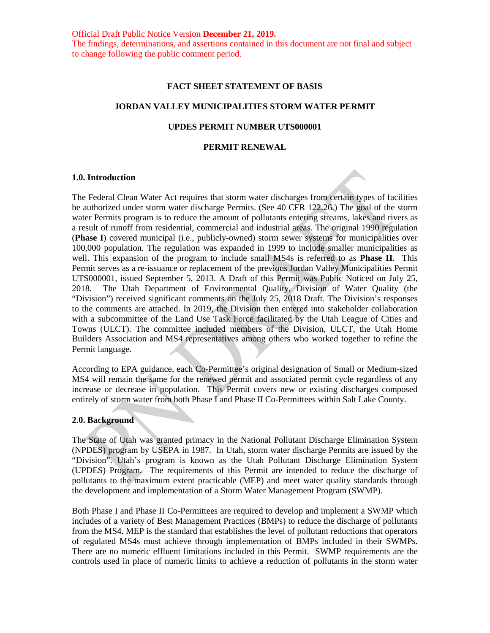Official Draft Public Notice Version **December 21, 2019.** The findings, determinations, and assertions contained in this document are not final and subject to change following the public comment period.

#### **FACT SHEET STATEMENT OF BASIS**

### **JORDAN VALLEY MUNICIPALITIES STORM WATER PERMIT**

#### **UPDES PERMIT NUMBER UTS000001**

### **PERMIT RENEWAL**

#### **1.0. Introduction**

The Federal Clean Water Act requires that storm water discharges from certain types of facilities be authorized under storm water discharge Permits. (See 40 CFR 122.26.) The goal of the storm water Permits program is to reduce the amount of pollutants entering streams, lakes and rivers as a result of runoff from residential, commercial and industrial areas. The original 1990 regulation (**Phase I**) covered municipal (i.e., publicly-owned) storm sewer systems for municipalities over 100,000 population. The regulation was expanded in 1999 to include smaller municipalities as well. This expansion of the program to include small MS4s is referred to as **Phase II**. This Permit serves as a re-issuance or replacement of the previous Jordan Valley Municipalities Permit UTS000001, issued September 5, 2013. A Draft of this Permit was Public Noticed on July 25, 2018. The Utah Department of Environmental Quality, Division of Water Quality (the "Division") received significant comments on the July 25, 2018 Draft. The Division's responses to the comments are attached. In 2019, the Division then entered into stakeholder collaboration with a subcommittee of the Land Use Task Force facilitated by the Utah League of Cities and Towns (ULCT). The committee included members of the Division, ULCT, the Utah Home Builders Association and MS4 representatives among others who worked together to refine the Permit language.

According to EPA guidance, each Co-Permittee's original designation of Small or Medium-sized MS4 will remain the same for the renewed permit and associated permit cycle regardless of any increase or decrease in population. This Permit covers new or existing discharges composed entirely of storm water from both Phase I and Phase II Co-Permittees within Salt Lake County.

#### **2.0. Background**

The State of Utah was granted primacy in the National Pollutant Discharge Elimination System (NPDES) program by USEPA in 1987. In Utah, storm water discharge Permits are issued by the "Division". Utah's program is known as the Utah Pollutant Discharge Elimination System (UPDES) Program. The requirements of this Permit are intended to reduce the discharge of pollutants to the maximum extent practicable (MEP) and meet water quality standards through the development and implementation of a Storm Water Management Program (SWMP).

Both Phase I and Phase II Co-Permittees are required to develop and implement a SWMP which includes of a variety of Best Management Practices (BMPs) to reduce the discharge of pollutants from the MS4. MEP is the standard that establishes the level of pollutant reductions that operators of regulated MS4s must achieve through implementation of BMPs included in their SWMPs. There are no numeric effluent limitations included in this Permit. SWMP requirements are the controls used in place of numeric limits to achieve a reduction of pollutants in the storm water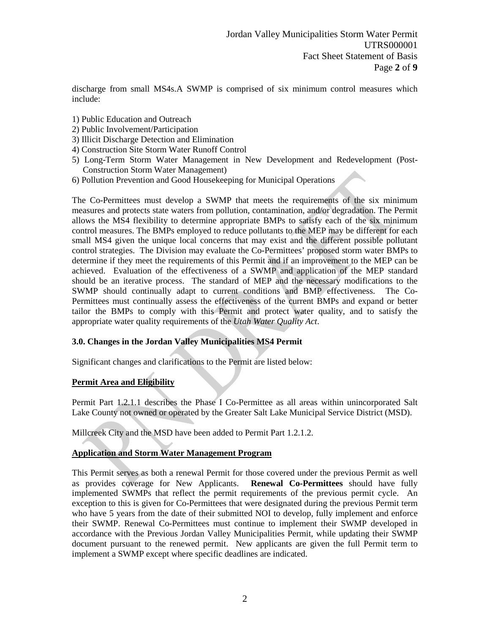discharge from small MS4s.A SWMP is comprised of six minimum control measures which include:

- 1) Public Education and Outreach
- 2) Public Involvement/Participation
- 3) Illicit Discharge Detection and Elimination
- 4) Construction Site Storm Water Runoff Control
- 5) Long-Term Storm Water Management in New Development and Redevelopment (Post-Construction Storm Water Management)
- 6) Pollution Prevention and Good Housekeeping for Municipal Operations

The Co-Permittees must develop a SWMP that meets the requirements of the six minimum measures and protects state waters from pollution, contamination, and/or degradation. The Permit allows the MS4 flexibility to determine appropriate BMPs to satisfy each of the six minimum control measures. The BMPs employed to reduce pollutants to the MEP may be different for each small MS4 given the unique local concerns that may exist and the different possible pollutant control strategies. The Division may evaluate the Co-Permittees' proposed storm water BMPs to determine if they meet the requirements of this Permit and if an improvement to the MEP can be achieved. Evaluation of the effectiveness of a SWMP and application of the MEP standard should be an iterative process. The standard of MEP and the necessary modifications to the SWMP should continually adapt to current conditions and BMP effectiveness. The Co-Permittees must continually assess the effectiveness of the current BMPs and expand or better tailor the BMPs to comply with this Permit and protect water quality, and to satisfy the appropriate water quality requirements of the *Utah Water Quality Act*.

## **3.0. Changes in the Jordan Valley Municipalities MS4 Permit**

Significant changes and clarifications to the Permit are listed below:

## **Permit Area and Eligibility**

Permit Part 1.2.1.1 describes the Phase I Co-Permittee as all areas within unincorporated Salt Lake County not owned or operated by the Greater Salt Lake Municipal Service District (MSD).

Millcreek City and the MSD have been added to Permit Part 1.2.1.2.

## **Application and Storm Water Management Program**

This Permit serves as both a renewal Permit for those covered under the previous Permit as well as provides coverage for New Applicants. **Renewal Co-Permittees** should have fully implemented SWMPs that reflect the permit requirements of the previous permit cycle. An exception to this is given for Co-Permittees that were designated during the previous Permit term who have 5 years from the date of their submitted NOI to develop, fully implement and enforce their SWMP. Renewal Co-Permittees must continue to implement their SWMP developed in accordance with the Previous Jordan Valley Municipalities Permit, while updating their SWMP document pursuant to the renewed permit. New applicants are given the full Permit term to implement a SWMP except where specific deadlines are indicated.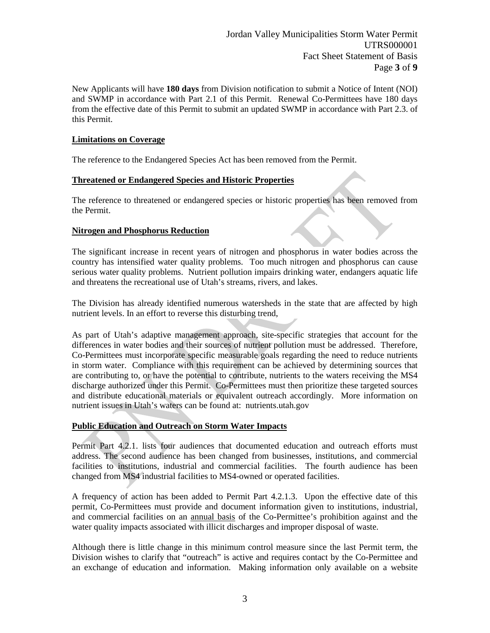Jordan Valley Municipalities Storm Water Permit UTRS000001 Fact Sheet Statement of Basis Page **3** of **9**

New Applicants will have **180 days** from Division notification to submit a Notice of Intent (NOI) and SWMP in accordance with Part 2.1 of this Permit. Renewal Co-Permittees have 180 days from the effective date of this Permit to submit an updated SWMP in accordance with Part 2.3. of this Permit.

## **Limitations on Coverage**

The reference to the Endangered Species Act has been removed from the Permit.

### **Threatened or Endangered Species and Historic Properties**

The reference to threatened or endangered species or historic properties has been removed from the Permit.

# **Nitrogen and Phosphorus Reduction**

The significant increase in recent years of nitrogen and phosphorus in water bodies across the country has intensified water quality problems. Too much nitrogen and phosphorus can cause serious water quality problems. Nutrient pollution impairs drinking water, endangers aquatic life and threatens the recreational use of Utah's streams, rivers, and lakes.

The Division has already identified numerous watersheds in the state that are affected by high nutrient levels. In an effort to reverse this disturbing trend,

As part of Utah's adaptive management approach, site-specific strategies that account for the differences in water bodies and their sources of nutrient pollution must be addressed. Therefore, Co-Permittees must incorporate specific measurable goals regarding the need to reduce nutrients in storm water. Compliance with this requirement can be achieved by determining sources that are contributing to, or have the potential to contribute, nutrients to the waters receiving the MS4 discharge authorized under this Permit. Co-Permittees must then prioritize these targeted sources and distribute educational materials or equivalent outreach accordingly. More information on nutrient issues in Utah's waters can be found at: nutrients.utah.gov

## **Public Education and Outreach on Storm Water Impacts**

Permit Part 4.2.1. lists four audiences that documented education and outreach efforts must address. The second audience has been changed from businesses, institutions, and commercial facilities to institutions, industrial and commercial facilities. The fourth audience has been changed from MS4 industrial facilities to MS4-owned or operated facilities.

A frequency of action has been added to Permit Part 4.2.1.3. Upon the effective date of this permit, Co-Permittees must provide and document information given to institutions, industrial, and commercial facilities on an annual basis of the Co-Permittee's prohibition against and the water quality impacts associated with illicit discharges and improper disposal of waste.

Although there is little change in this minimum control measure since the last Permit term, the Division wishes to clarify that "outreach" is active and requires contact by the Co-Permittee and an exchange of education and information. Making information only available on a website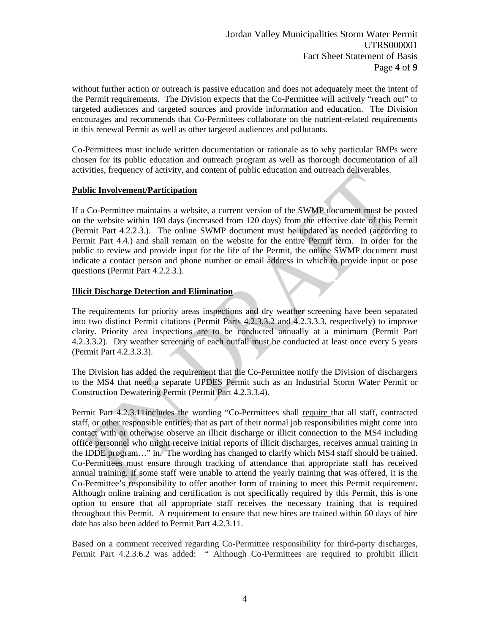without further action or outreach is passive education and does not adequately meet the intent of the Permit requirements. The Division expects that the Co-Permittee will actively "reach out" to targeted audiences and targeted sources and provide information and education. The Division encourages and recommends that Co-Permittees collaborate on the nutrient-related requirements in this renewal Permit as well as other targeted audiences and pollutants.

Co-Permittees must include written documentation or rationale as to why particular BMPs were chosen for its public education and outreach program as well as thorough documentation of all activities, frequency of activity, and content of public education and outreach deliverables.

# **Public Involvement/Participation**

If a Co-Permittee maintains a website, a current version of the SWMP document must be posted on the website within 180 days (increased from 120 days) from the effective date of this Permit (Permit Part 4.2.2.3.). The online SWMP document must be updated as needed (according to Permit Part 4.4.) and shall remain on the website for the entire Permit term. In order for the public to review and provide input for the life of the Permit, the online SWMP document must indicate a contact person and phone number or email address in which to provide input or pose questions (Permit Part 4.2.2.3.).

# **Illicit Discharge Detection and Elimination**

The requirements for priority areas inspections and dry weather screening have been separated into two distinct Permit citations (Permit Parts 4.2.3.3.2 and 4.2.3.3.3, respectively) to improve clarity. Priority area inspections are to be conducted annually at a minimum (Permit Part 4.2.3.3.2). Dry weather screening of each outfall must be conducted at least once every 5 years (Permit Part 4.2.3.3.3).

The Division has added the requirement that the Co-Permittee notify the Division of dischargers to the MS4 that need a separate UPDES Permit such as an Industrial Storm Water Permit or Construction Dewatering Permit (Permit Part 4.2.3.3.4).

Permit Part 4.2.3.11includes the wording "Co-Permittees shall require that all staff, contracted staff, or other responsible entities, that as part of their normal job responsibilities might come into contact with or otherwise observe an illicit discharge or illicit connection to the MS4 including office personnel who might receive initial reports of illicit discharges, receives annual training in the IDDE program…" in. The wording has changed to clarify which MS4 staff should be trained. Co-Permittees must ensure through tracking of attendance that appropriate staff has received annual training. If some staff were unable to attend the yearly training that was offered, it is the Co-Permittee's responsibility to offer another form of training to meet this Permit requirement. Although online training and certification is not specifically required by this Permit, this is one option to ensure that all appropriate staff receives the necessary training that is required throughout this Permit. A requirement to ensure that new hires are trained within 60 days of hire date has also been added to Permit Part 4.2.3.11.

Based on a comment received regarding Co-Permittee responsibility for third-party discharges, Permit Part 4.2.3.6.2 was added: " Although Co-Permittees are required to prohibit illicit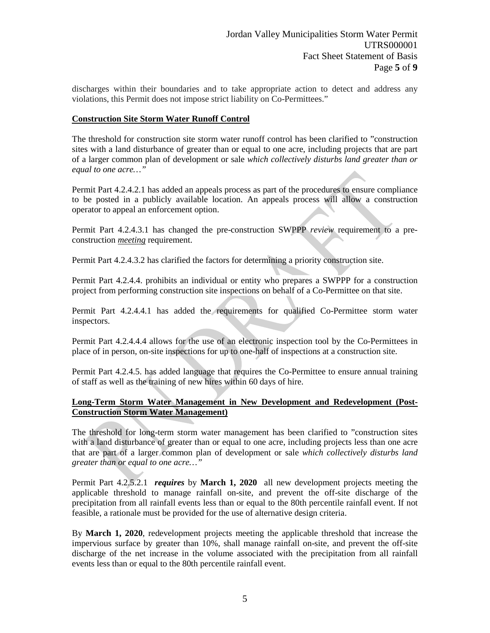discharges within their boundaries and to take appropriate action to detect and address any violations, this Permit does not impose strict liability on Co-Permittees."

## **Construction Site Storm Water Runoff Control**

The threshold for construction site storm water runoff control has been clarified to "construction sites with a land disturbance of greater than or equal to one acre, including projects that are part of a larger common plan of development or sale *which collectively disturbs land greater than or equal to one acre…"*

Permit Part 4.2.4.2.1 has added an appeals process as part of the procedures to ensure compliance to be posted in a publicly available location. An appeals process will allow a construction operator to appeal an enforcement option.

Permit Part 4.2.4.3.1 has changed the pre-construction SWPPP *review* requirement to a preconstruction *meeting* requirement.

Permit Part 4.2.4.3.2 has clarified the factors for determining a priority construction site.

Permit Part 4.2.4.4. prohibits an individual or entity who prepares a SWPPP for a construction project from performing construction site inspections on behalf of a Co-Permittee on that site.

Permit Part 4.2.4.4.1 has added the requirements for qualified Co-Permittee storm water inspectors.

Permit Part 4.2.4.4.4 allows for the use of an electronic inspection tool by the Co-Permittees in place of in person, on-site inspections for up to one-half of inspections at a construction site.

Permit Part 4.2.4.5. has added language that requires the Co-Permittee to ensure annual training of staff as well as the training of new hires within 60 days of hire.

# **Long-Term Storm Water Management in New Development and Redevelopment (Post-Construction Storm Water Management)**

The threshold for long-term storm water management has been clarified to "construction sites with a land disturbance of greater than or equal to one acre, including projects less than one acre that are part of a larger common plan of development or sale *which collectively disturbs land greater than or equal to one acre…"*

Permit Part 4.2.5.2.1 *requires* by **March 1, 2020** all new development projects meeting the applicable threshold to manage rainfall on-site, and prevent the off-site discharge of the precipitation from all rainfall events less than or equal to the 80th percentile rainfall event. If not feasible, a rationale must be provided for the use of alternative design criteria.

By **March 1, 2020**, redevelopment projects meeting the applicable threshold that increase the impervious surface by greater than 10%, shall manage rainfall on-site, and prevent the off-site discharge of the net increase in the volume associated with the precipitation from all rainfall events less than or equal to the 80th percentile rainfall event.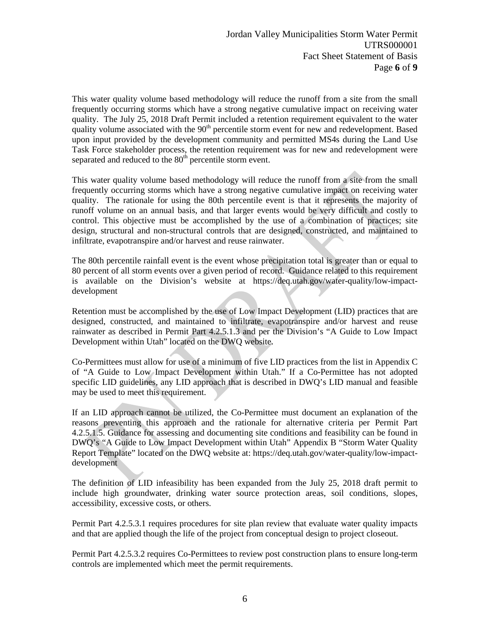This water quality volume based methodology will reduce the runoff from a site from the small frequently occurring storms which have a strong negative cumulative impact on receiving water quality. The July 25, 2018 Draft Permit included a retention requirement equivalent to the water quality volume associated with the  $90<sup>th</sup>$  percentile storm event for new and redevelopment. Based upon input provided by the development community and permitted MS4s during the Land Use Task Force stakeholder process, the retention requirement was for new and redevelopment were separated and reduced to the  $80<sup>th</sup>$  percentile storm event.

This water quality volume based methodology will reduce the runoff from a site from the small frequently occurring storms which have a strong negative cumulative impact on receiving water quality. The rationale for using the 80th percentile event is that it represents the majority of runoff volume on an annual basis, and that larger events would be very difficult and costly to control. This objective must be accomplished by the use of a combination of practices; site design, structural and non-structural controls that are designed, constructed, and maintained to infiltrate, evapotranspire and/or harvest and reuse rainwater.

The 80th percentile rainfall event is the event whose precipitation total is greater than or equal to 80 percent of all storm events over a given period of record. Guidance related to this requirement is available on the Division's website at [https://deq.utah.gov/water-quality/low-impact](https://deq.utah.gov/water-quality/low-impact-development)[development](https://deq.utah.gov/water-quality/low-impact-development)

Retention must be accomplished by the use of Low Impact Development (LID) practices that are designed, constructed, and maintained to infiltrate, evapotranspire and/or harvest and reuse rainwater as described in Permit Part 4.2.5.1.3 and per the Division's "A Guide to Low Impact Development within Utah" located on the DWQ website.

Co-Permittees must allow for use of a minimum of five LID practices from the list in Appendix C of "A Guide to Low Impact Development within Utah." If a Co-Permittee has not adopted specific LID guidelines, any LID approach that is described in DWQ's LID manual and feasible may be used to meet this requirement.

If an LID approach cannot be utilized, the Co-Permittee must document an explanation of the reasons preventing this approach and the rationale for alternative criteria per Permit Part 4.2.5.1.5. Guidance for assessing and documenting site conditions and feasibility can be found in DWQ's "A Guide to Low Impact Development within Utah" Appendix B "Storm Water Quality Report Template" located on the DWQ website at: [https://deq.utah.gov/water-quality/low-impact](https://deq.utah.gov/water-quality/low-impact-development)[development](https://deq.utah.gov/water-quality/low-impact-development) 

The definition of LID infeasibility has been expanded from the July 25, 2018 draft permit to include high groundwater, drinking water source protection areas, soil conditions, slopes, accessibility, excessive costs, or others.

Permit Part 4.2.5.3.1 requires procedures for site plan review that evaluate water quality impacts and that are applied though the life of the project from conceptual design to project closeout.

Permit Part 4.2.5.3.2 requires Co-Permittees to review post construction plans to ensure long-term controls are implemented which meet the permit requirements.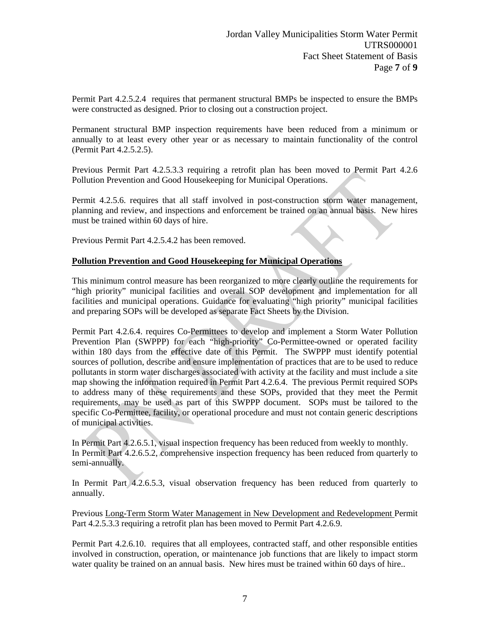Permit Part 4.2.5.2.4 requires that permanent structural BMPs be inspected to ensure the BMPs were constructed as designed. Prior to closing out a construction project.

Permanent structural BMP inspection requirements have been reduced from a minimum or annually to at least every other year or as necessary to maintain functionality of the control (Permit Part 4.2.5.2.5).

Previous Permit Part 4.2.5.3.3 requiring a retrofit plan has been moved to Permit Part 4.2.6 Pollution Prevention and Good Housekeeping for Municipal Operations.

Permit 4.2.5.6. requires that all staff involved in post-construction storm water management, planning and review, and inspections and enforcement be trained on an annual basis. New hires must be trained within 60 days of hire.

Previous Permit Part 4.2.5.4.2 has been removed.

### **Pollution Prevention and Good Housekeeping for Municipal Operations**

This minimum control measure has been reorganized to more clearly outline the requirements for "high priority" municipal facilities and overall SOP development and implementation for all facilities and municipal operations. Guidance for evaluating "high priority" municipal facilities and preparing SOPs will be developed as separate Fact Sheets by the Division.

Permit Part 4.2.6.4. requires Co-Permittees to develop and implement a Storm Water Pollution Prevention Plan (SWPPP) for each "high-priority" Co-Permittee-owned or operated facility within 180 days from the effective date of this Permit. The SWPPP must identify potential sources of pollution, describe and ensure implementation of practices that are to be used to reduce pollutants in storm water discharges associated with activity at the facility and must include a site map showing the information required in Permit Part 4.2.6.4. The previous Permit required SOPs to address many of these requirements and these SOPs, provided that they meet the Permit requirements, may be used as part of this SWPPP document. SOPs must be tailored to the specific Co-Permittee, facility, or operational procedure and must not contain generic descriptions of municipal activities.

In Permit Part 4.2.6.5.1, visual inspection frequency has been reduced from weekly to monthly. In Permit Part 4.2.6.5.2, comprehensive inspection frequency has been reduced from quarterly to semi-annually.

In Permit Part 4.2.6.5.3, visual observation frequency has been reduced from quarterly to annually.

Previous Long-Term Storm Water Management in New Development and Redevelopment Permit Part 4.2.5.3.3 requiring a retrofit plan has been moved to Permit Part 4.2.6.9.

Permit Part 4.2.6.10. requires that all employees, contracted staff, and other responsible entities involved in construction, operation, or maintenance job functions that are likely to impact storm water quality be trained on an annual basis. New hires must be trained within 60 days of hire..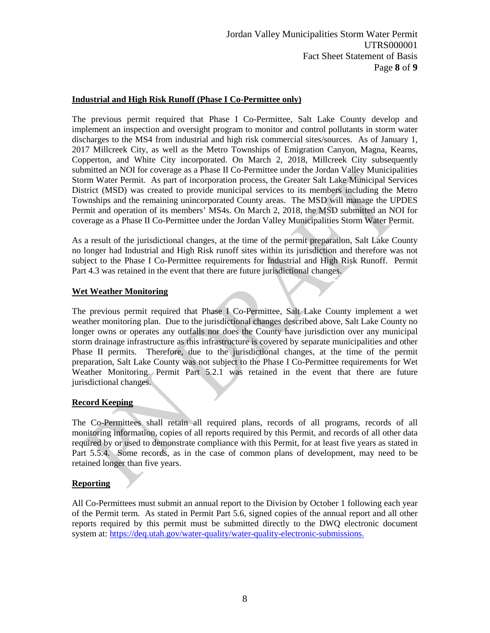# **Industrial and High Risk Runoff (Phase I Co-Permittee only)**

The previous permit required that Phase I Co-Permittee, Salt Lake County develop and implement an inspection and oversight program to monitor and control pollutants in storm water discharges to the MS4 from industrial and high risk commercial sites/sources. As of January 1, 2017 Millcreek City, as well as the Metro Townships of Emigration Canyon, Magna, Kearns, Copperton, and White City incorporated. On March 2, 2018, Millcreek City subsequently submitted an NOI for coverage as a Phase II Co-Permittee under the Jordan Valley Municipalities Storm Water Permit. As part of incorporation process, the Greater Salt Lake Municipal Services District (MSD) was created to provide municipal services to its members including the Metro Townships and the remaining unincorporated County areas. The MSD will manage the UPDES Permit and operation of its members' MS4s. On March 2, 2018, the MSD submitted an NOI for coverage as a Phase II Co-Permittee under the Jordan Valley Municipalities Storm Water Permit.

As a result of the jurisdictional changes, at the time of the permit preparation, Salt Lake County no longer had Industrial and High Risk runoff sites within its jurisdiction and therefore was not subject to the Phase I Co-Permittee requirements for Industrial and High Risk Runoff. Permit Part 4.3 was retained in the event that there are future jurisdictional changes.

## **Wet Weather Monitoring**

The previous permit required that Phase I Co-Permittee, Salt Lake County implement a wet weather monitoring plan. Due to the jurisdictional changes described above, Salt Lake County no longer owns or operates any outfalls nor does the County have jurisdiction over any municipal storm drainage infrastructure as this infrastructure is covered by separate municipalities and other Phase II permits. Therefore, due to the jurisdictional changes, at the time of the permit preparation, Salt Lake County was not subject to the Phase I Co-Permittee requirements for Wet Weather Monitoring. Permit Part 5.2.1 was retained in the event that there are future jurisdictional changes.

# **Record Keeping**

The Co-Permittees shall retain all required plans, records of all programs, records of all monitoring information, copies of all reports required by this Permit, and records of all other data required by or used to demonstrate compliance with this Permit, for at least five years as stated in Part 5.5.4. Some records, as in the case of common plans of development, may need to be retained longer than five years.

## **Reporting**

All Co-Permittees must submit an annual report to the Division by October 1 following each year of the Permit term. As stated in Permit Part 5.6, signed copies of the annual report and all other reports required by this permit must be submitted directly to the DWQ electronic document system at: [https://deq.utah.gov/water-quality/water-quality-electronic-submissions.](https://www.google.com/url?q=https://deq.utah.gov/water-quality/water-quality-electronic-submissions&sa=D&source=hangouts&ust=1531434192142000&usg=AFQjCNG5ZheX1WoWDRR8h8FhTSWadkwzUQ)